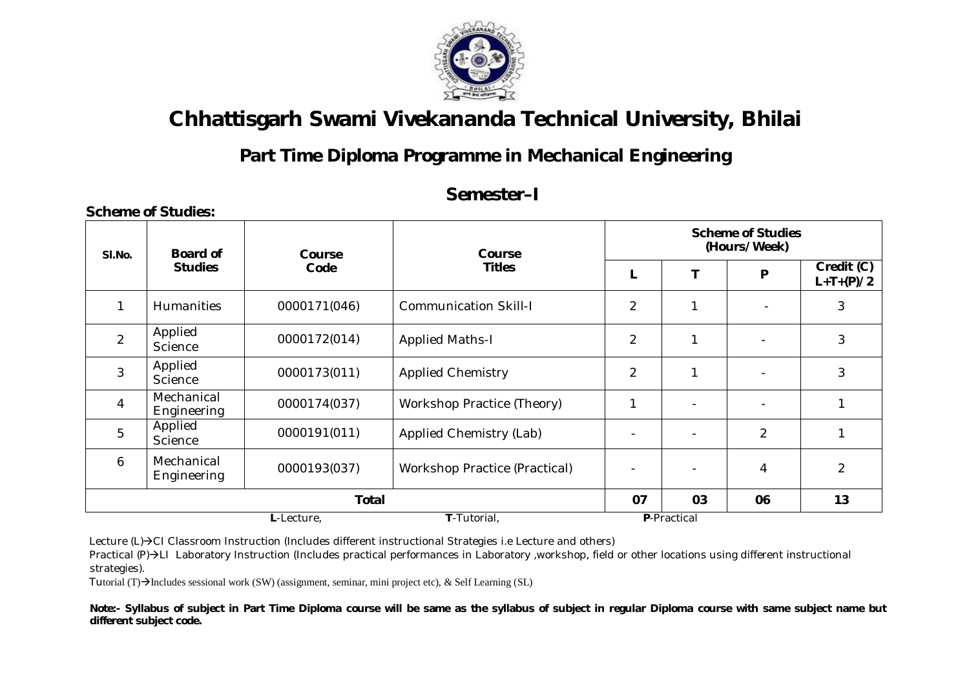

#### **Part Time Diploma Programme in Mechanical Engineering**

#### **Semester–I**

| SI.No.         | <b>Board of</b>           | Course<br>Code | Course                               | <b>Scheme of Studies</b><br>(Hours/Week) |             |                          |                           |  |  |
|----------------|---------------------------|----------------|--------------------------------------|------------------------------------------|-------------|--------------------------|---------------------------|--|--|
|                | <b>Studies</b>            |                | <b>Titles</b>                        | L                                        | Т           | P                        | Credit (C)<br>$L+T+(P)/2$ |  |  |
|                | <b>Humanities</b>         | 0000171(046)   | <b>Communication Skill-I</b>         | $\overline{2}$                           | 1           |                          | 3                         |  |  |
| $\overline{2}$ | Applied<br>Science        | 0000172(014)   | <b>Applied Maths-I</b>               | $\overline{2}$                           | 1           | $\overline{\phantom{0}}$ | 3                         |  |  |
| 3              | Applied<br>Science        | 0000173(011)   | <b>Applied Chemistry</b>             | $\overline{2}$                           | 1           | $\overline{\phantom{0}}$ | 3                         |  |  |
| $\overline{4}$ | Mechanical<br>Engineering | 0000174(037)   | Workshop Practice (Theory)           | 1                                        |             |                          | $\mathbf 1$               |  |  |
| 5              | Applied<br>Science        | 0000191(011)   | Applied Chemistry (Lab)              |                                          |             | $\overline{2}$           |                           |  |  |
| 6              | Mechanical<br>Engineering | 0000193(037)   | <b>Workshop Practice (Practical)</b> |                                          |             | 4                        | $\overline{2}$            |  |  |
|                |                           | <b>Total</b>   |                                      | 07                                       | 03          | 06                       | 13                        |  |  |
|                |                           | L-Lecture,     | T-Tutorial,                          |                                          | P-Practical |                          |                           |  |  |

Lecture (L)→CI Classroom Instruction (Includes different instructional Strategies i.e Lecture and others)

Practical (P) > LI Laboratory Instruction (Includes practical performances in Laboratory ,workshop, field or other locations using different instructional strategies).

Tutorial (T) $\rightarrow$ Includes sessional work (SW) (assignment, seminar, mini project etc), & Self Learning (SL)

 **Scheme of Studies:**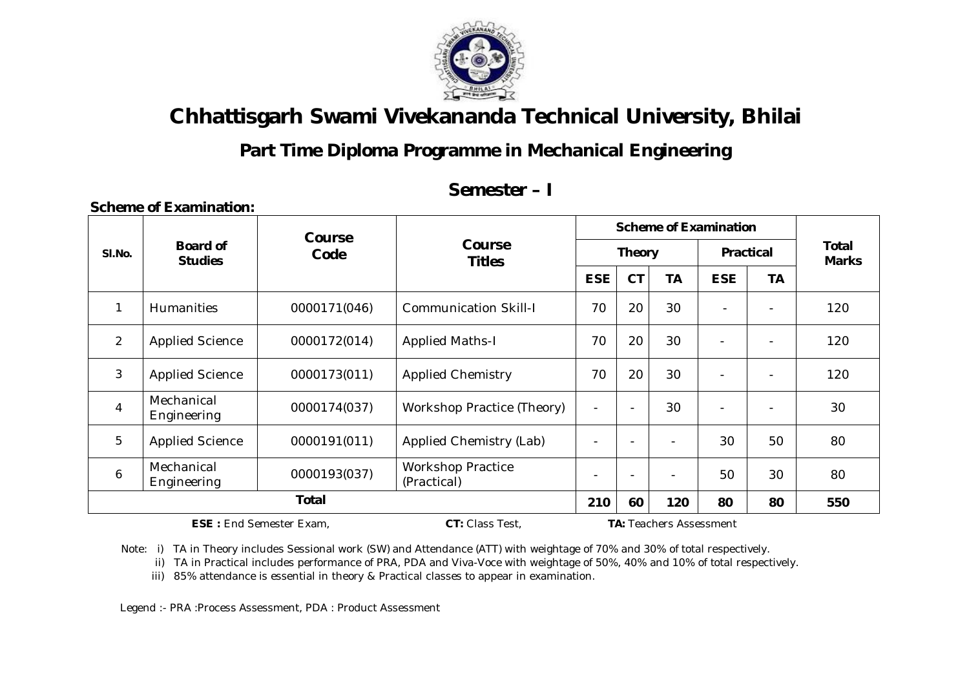

## **Part Time Diploma Programme in Mechanical Engineering**

#### **Semester – I**

|                | <b>Course</b>                     |              |                                         | <b>Scheme of Examination</b> |                          |     |                          |                          |                              |
|----------------|-----------------------------------|--------------|-----------------------------------------|------------------------------|--------------------------|-----|--------------------------|--------------------------|------------------------------|
| SI.No.         | <b>Board of</b><br><b>Studies</b> | Code         | Course<br><b>Titles</b>                 | <b>Theory</b>                |                          |     | <b>Practical</b>         |                          | <b>Total</b><br><b>Marks</b> |
|                |                                   |              |                                         | <b>ESE</b>                   | <b>CT</b>                | ТA  | <b>ESE</b>               | <b>TA</b>                |                              |
| $\mathbf{1}$   | <b>Humanities</b>                 | 0000171(046) | <b>Communication Skill-I</b>            | 70                           | 20                       | 30  | $\blacksquare$           | $\blacksquare$           | 120                          |
| $\overline{2}$ | <b>Applied Science</b>            | 0000172(014) | <b>Applied Maths-I</b>                  | 70                           | 20                       | 30  |                          | $\blacksquare$           | 120                          |
| 3              | <b>Applied Science</b>            | 0000173(011) | <b>Applied Chemistry</b>                | 70                           | 20                       | 30  |                          | $\overline{\phantom{a}}$ | 120                          |
| $\overline{4}$ | Mechanical<br>Engineering         | 0000174(037) | Workshop Practice (Theory)              | $\overline{\phantom{a}}$     | $\overline{\phantom{a}}$ | 30  | $\overline{\phantom{a}}$ | $\overline{\phantom{a}}$ | 30                           |
| 5              | <b>Applied Science</b>            | 0000191(011) | Applied Chemistry (Lab)                 | $\overline{\phantom{a}}$     |                          |     | 30                       | 50                       | 80                           |
| 6              | Mechanical<br>Engineering         | 0000193(037) | <b>Workshop Practice</b><br>(Practical) | $\overline{\phantom{a}}$     |                          |     | 50                       | 30                       | 80                           |
|                | Total                             |              |                                         |                              | 60                       | 120 | 80                       | 80                       | 550                          |

**ESE :** End Semester Exam, **CT:** Class Test, **TA:** Teachers Assessment

**Scheme of Examination:** 

Note: i) TA in Theory includes Sessional work (SW) and Attendance (ATT) with weightage of 70% and 30% of total respectively.

ii) TA in Practical includes performance of PRA, PDA and Viva-Voce with weightage of 50%, 40% and 10% of total respectively.

iii) 85% attendance is essential in theory & Practical classes to appear in examination.

Legend :- PRA :Process Assessment, PDA : Product Assessment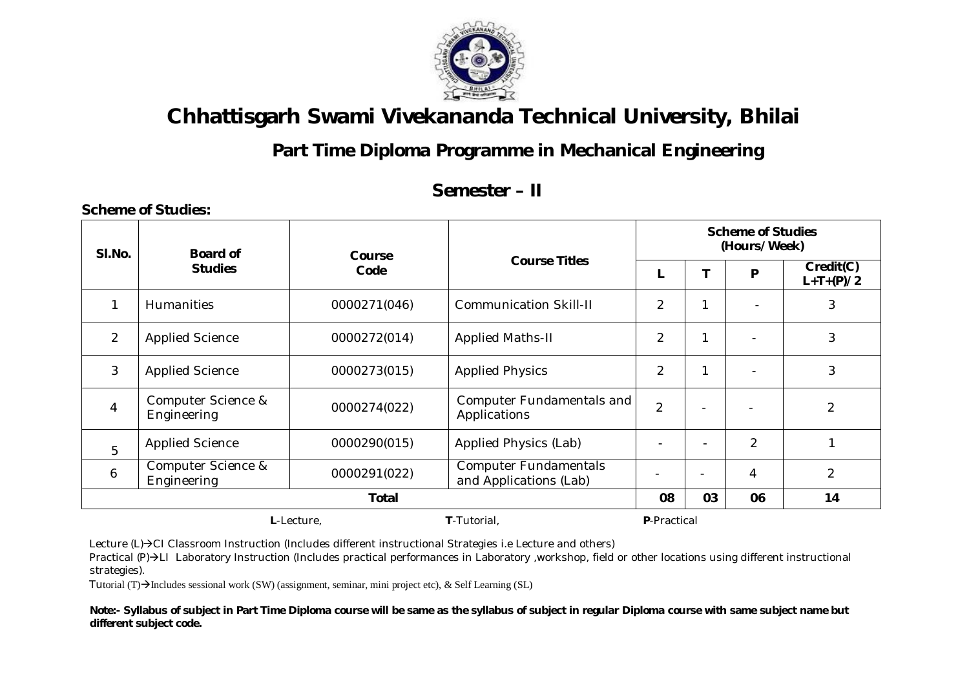

## **Part Time Diploma Programme in Mechanical Engineering**

#### **Semester – II**

| SI.No.         | <b>Board of</b>                   | Course       |                                                        | <b>Scheme of Studies</b><br>(Hours/Week) |                          |                |                          |  |
|----------------|-----------------------------------|--------------|--------------------------------------------------------|------------------------------------------|--------------------------|----------------|--------------------------|--|
|                | <b>Studies</b>                    | Code         | <b>Course Titles</b>                                   |                                          |                          | P              | Credit(C)<br>$L+T+(P)/2$ |  |
| 1              | Humanities                        | 0000271(046) | <b>Communication Skill-II</b>                          | $\overline{2}$                           | 1                        |                | 3                        |  |
| $\overline{2}$ | <b>Applied Science</b>            | 0000272(014) | <b>Applied Maths-II</b>                                | $\overline{2}$                           | 1                        |                | 3                        |  |
| 3              | <b>Applied Science</b>            | 0000273(015) | <b>Applied Physics</b>                                 | $\overline{2}$                           | 1                        |                | 3                        |  |
| $\overline{4}$ | Computer Science &<br>Engineering | 0000274(022) | Computer Fundamentals and<br>Applications              | $\overline{2}$                           | $\overline{\phantom{0}}$ |                | $\overline{2}$           |  |
| 5              | <b>Applied Science</b>            | 0000290(015) | Applied Physics (Lab)                                  |                                          | $\blacksquare$           | $\overline{2}$ |                          |  |
| 6              | Computer Science &<br>Engineering | 0000291(022) | <b>Computer Fundamentals</b><br>and Applications (Lab) |                                          | $\blacksquare$           | 4              | $\overline{2}$           |  |
| <b>Total</b>   |                                   |              |                                                        | 08                                       | 03                       | 06             | 14                       |  |
|                | T-Tutorial,<br>L-Lecture,         |              |                                                        |                                          |                          |                |                          |  |

**Scheme of Studies:** 

Lecture  $(L)\rightarrow C1$  Classroom Instruction (Includes different instructional Strategies i.e Lecture and others)

Practical (P)->LI Laboratory Instruction (Includes practical performances in Laboratory ,workshop, field or other locations using different instructional strategies).

Tutorial (T) $\rightarrow$ Includes sessional work (SW) (assignment, seminar, mini project etc), & Self Learning (SL)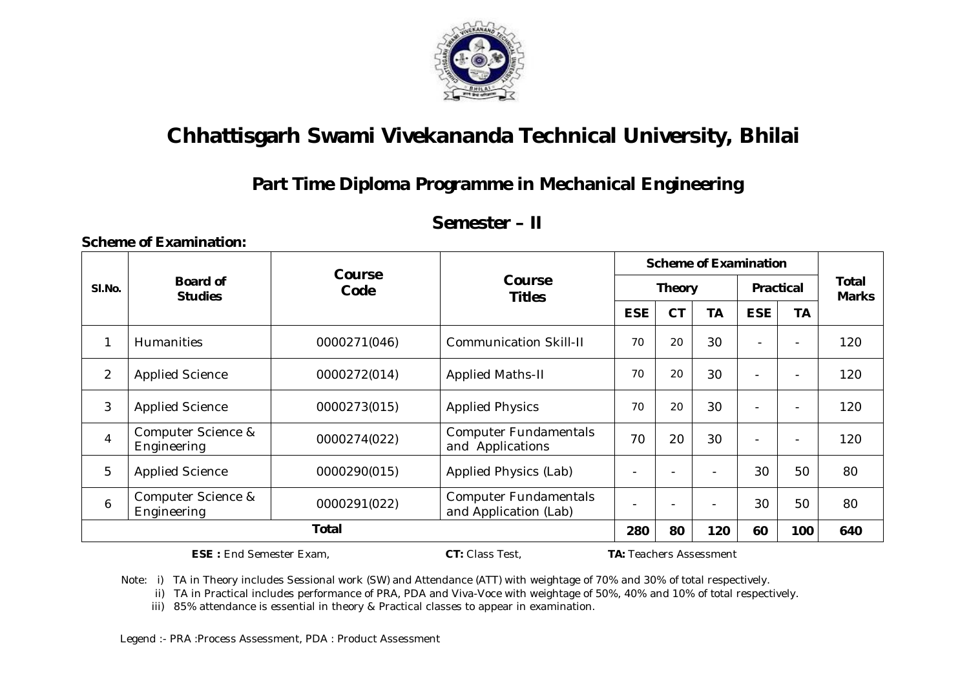

## **Part Time Diploma Programme in Mechanical Engineering**

#### **Semester – II**

**Scheme of Examination:** 

|                      | <b>Course</b>                     |              | <b>Scheme of Examination</b>                          |               |           |    |                          |           |                       |
|----------------------|-----------------------------------|--------------|-------------------------------------------------------|---------------|-----------|----|--------------------------|-----------|-----------------------|
| SI.No.               | <b>Board of</b><br><b>Studies</b> | Code         | Course<br><b>Titles</b>                               | <b>Theory</b> |           |    | <b>Practical</b>         |           | Total<br><b>Marks</b> |
|                      |                                   |              |                                                       | <b>ESE</b>    | <b>CT</b> | TA | <b>ESE</b>               | <b>TA</b> |                       |
| 1                    | <b>Humanities</b>                 | 0000271(046) | <b>Communication Skill-II</b>                         | 70            | 20        | 30 | $\overline{\phantom{a}}$ |           | 120                   |
| $\overline{2}$       | <b>Applied Science</b>            | 0000272(014) | <b>Applied Maths-II</b>                               | 70            | 20        | 30 | $\overline{\phantom{0}}$ |           | 120                   |
| 3                    | <b>Applied Science</b>            | 0000273(015) | <b>Applied Physics</b>                                | 70            | 20        | 30 | $\blacksquare$           |           | 120                   |
| 4                    | Computer Science &<br>Engineering | 0000274(022) | <b>Computer Fundamentals</b><br>and Applications      | 70            | 20        | 30 |                          |           | 120                   |
| 5                    | <b>Applied Science</b>            | 0000290(015) | <b>Applied Physics (Lab)</b>                          |               |           |    | 30                       | 50        | 80                    |
| 6                    | Computer Science &<br>Engineering | 0000291(022) | <b>Computer Fundamentals</b><br>and Application (Lab) |               |           |    | 30                       | 50        | 80                    |
| Total                |                                   |              | 280                                                   | 80            | 120       | 60 | 100                      | 640       |                       |
| $\sim$ $\sim$ $\sim$ |                                   |              |                                                       |               |           |    |                          |           |                       |

**ESE :** End Semester Exam, **CT:** Class Test, **TA:** Teachers Assessment

Note: i) TA in Theory includes Sessional work (SW) and Attendance (ATT) with weightage of 70% and 30% of total respectively.

ii) TA in Practical includes performance of PRA, PDA and Viva-Voce with weightage of 50%, 40% and 10% of total respectively.

iii) 85% attendance is essential in theory & Practical classes to appear in examination.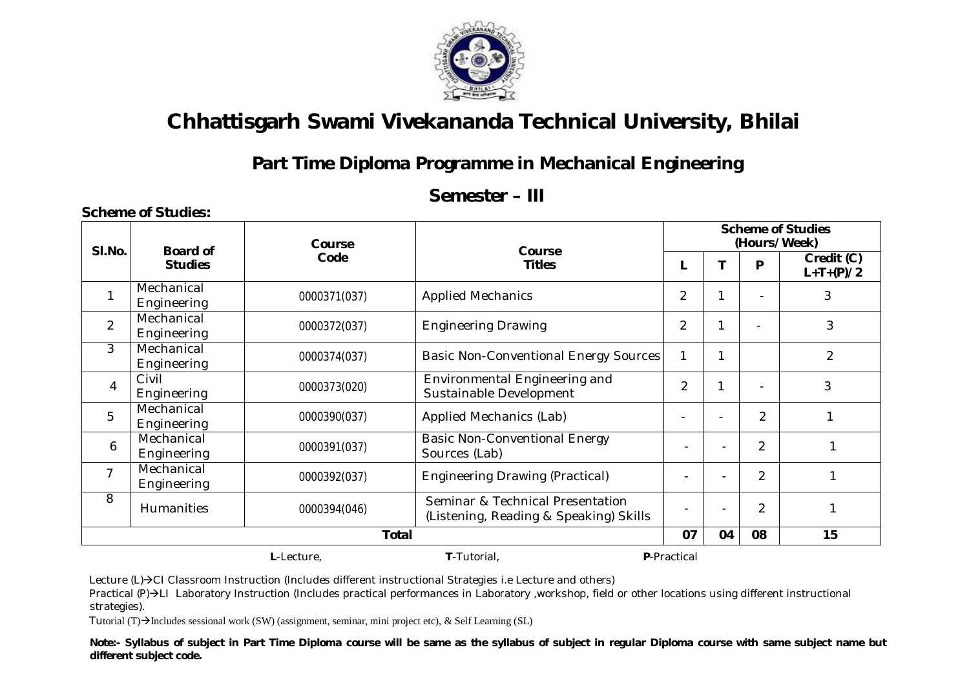

#### **Part Time Diploma Programme in Mechanical Engineering**

#### **Semester – III**

| SI.No.         | <b>Board of</b>                          | <b>Course</b> | Course                                                                     |                          |  |                | <b>Scheme of Studies</b><br>(Hours/Week) |  |  |
|----------------|------------------------------------------|---------------|----------------------------------------------------------------------------|--------------------------|--|----------------|------------------------------------------|--|--|
|                | <b>Studies</b>                           | Code          | <b>Titles</b>                                                              |                          |  | P              | Credit (C)<br>$L+T+(P)/2$                |  |  |
|                | Mechanical<br>Engineering                | 0000371(037)  | <b>Applied Mechanics</b>                                                   | $\overline{2}$           |  |                | 3                                        |  |  |
| $\overline{2}$ | Mechanical<br>Engineering                | 0000372(037)  | <b>Engineering Drawing</b>                                                 | $\overline{2}$           |  |                | 3                                        |  |  |
| $\mathbf{3}$   | Mechanical<br>Engineering                | 0000374(037)  | <b>Basic Non-Conventional Energy Sources</b>                               | 1                        |  |                | $\overline{2}$                           |  |  |
| $\overline{4}$ | Civil<br>Engineering                     | 0000373(020)  | Environmental Engineering and<br>Sustainable Development                   | $\overline{2}$           |  |                | 3                                        |  |  |
| 5              | Mechanical<br>Engineering                | 0000390(037)  | <b>Applied Mechanics (Lab)</b>                                             | $\blacksquare$           |  | $\overline{2}$ |                                          |  |  |
| 6              | Mechanical<br>Engineering                | 0000391(037)  | <b>Basic Non-Conventional Energy</b><br>Sources (Lab)                      |                          |  | $\overline{2}$ |                                          |  |  |
| $\overline{7}$ | Mechanical<br>Engineering                | 0000392(037)  | <b>Engineering Drawing (Practical)</b>                                     | $\overline{\phantom{a}}$ |  | $\overline{2}$ |                                          |  |  |
| 8              | <b>Humanities</b>                        | 0000394(046)  | Seminar & Technical Presentation<br>(Listening, Reading & Speaking) Skills |                          |  | $\overline{2}$ |                                          |  |  |
|                | <b>Total</b>                             |               |                                                                            |                          |  |                | 15                                       |  |  |
|                | T-Tutorial,<br>P-Practical<br>L-Lecture, |               |                                                                            |                          |  |                |                                          |  |  |

Lecture (L)→CI Classroom Instruction (Includes different instructional Strategies i.e Lecture and others)

Practical (P)->LI Laboratory Instruction (Includes practical performances in Laboratory ,workshop, field or other locations using different instructional strategies).

Tutorial (T) $\rightarrow$ Includes sessional work (SW) (assignment, seminar, mini project etc), & Self Learning (SL)

**Scheme of Studies:**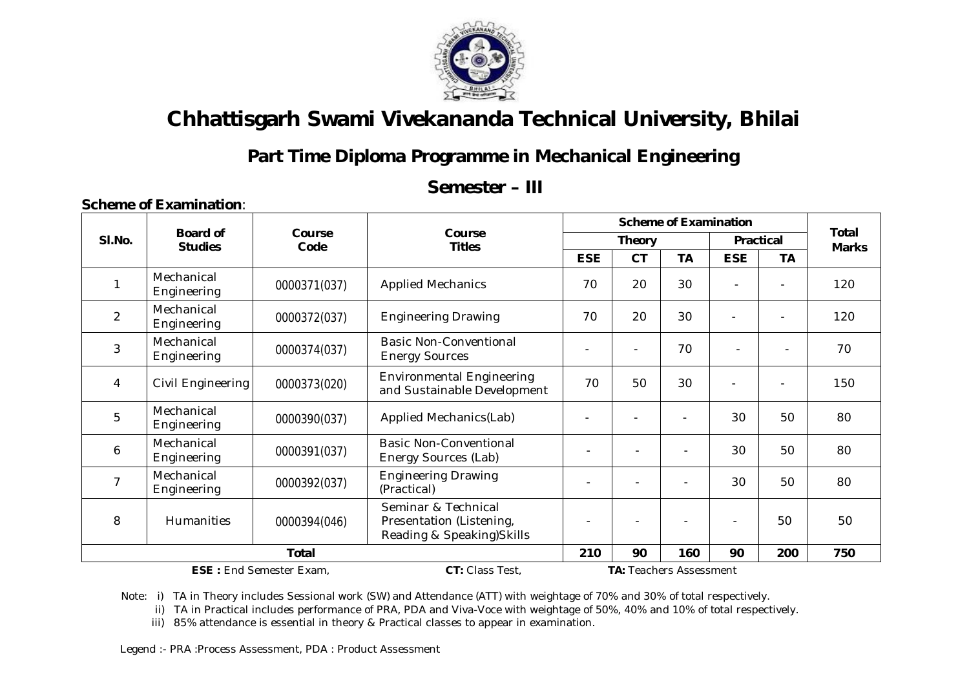

## **Part Time Diploma Programme in Mechanical Engineering**

#### **Semester – III**

|                |                                   |                |                                                                               |            | <b>Scheme of Examination</b> |                          |                |                          |                       |  |
|----------------|-----------------------------------|----------------|-------------------------------------------------------------------------------|------------|------------------------------|--------------------------|----------------|--------------------------|-----------------------|--|
| SI.No.         | <b>Board of</b><br><b>Studies</b> | Course<br>Code | Course<br><b>Titles</b>                                                       |            | <b>Theory</b>                |                          | Practical      |                          | Total<br><b>Marks</b> |  |
|                |                                   |                |                                                                               | <b>ESE</b> | <b>CT</b>                    | <b>TA</b>                | <b>ESE</b>     | <b>TA</b>                |                       |  |
|                | Mechanical<br>Engineering         | 0000371(037)   | <b>Applied Mechanics</b>                                                      | 70         | 20                           | 30                       |                |                          | 120                   |  |
| $\overline{2}$ | Mechanical<br>Engineering         | 0000372(037)   | <b>Engineering Drawing</b>                                                    | 70         | 20                           | 30                       |                |                          | 120                   |  |
| 3              | Mechanical<br>Engineering         | 0000374(037)   | Basic Non-Conventional<br><b>Energy Sources</b>                               |            |                              | 70                       | $\blacksquare$ | ۰                        | 70                    |  |
| 4              | Civil Engineering                 | 0000373(020)   | <b>Environmental Engineering</b><br>and Sustainable Development               | 70         | 50                           | 30                       |                | $\overline{\phantom{a}}$ | 150                   |  |
| 5              | Mechanical<br>Engineering         | 0000390(037)   | Applied Mechanics(Lab)                                                        |            |                              | $\overline{\phantom{0}}$ | 30             | 50                       | 80                    |  |
| 6              | Mechanical<br>Engineering         | 0000391(037)   | <b>Basic Non-Conventional</b><br>Energy Sources (Lab)                         | ٠          |                              |                          | 30             | 50                       | 80                    |  |
| $\overline{7}$ | Mechanical<br>Engineering         | 0000392(037)   | <b>Engineering Drawing</b><br>(Practical)                                     | ÷          |                              | $\blacksquare$           | 30             | 50                       | 80                    |  |
| 8              | <b>Humanities</b>                 | 0000394(046)   | Seminar & Technical<br>Presentation (Listening,<br>Reading & Speaking) Skills |            |                              |                          |                | 50                       | 50                    |  |
|                |                                   | Total          |                                                                               | 210        | 90                           | 160                      | 90             | 200                      | 750                   |  |
|                | <b>ESE: End Semester Exam,</b>    |                | <b>TA: Teachers Assessment</b>                                                |            |                              |                          |                |                          |                       |  |

#### **Scheme of Examination**:

Note: i) TA in Theory includes Sessional work (SW) and Attendance (ATT) with weightage of 70% and 30% of total respectively.

ii) TA in Practical includes performance of PRA, PDA and Viva-Voce with weightage of 50%, 40% and 10% of total respectively.

iii) 85% attendance is essential in theory & Practical classes to appear in examination.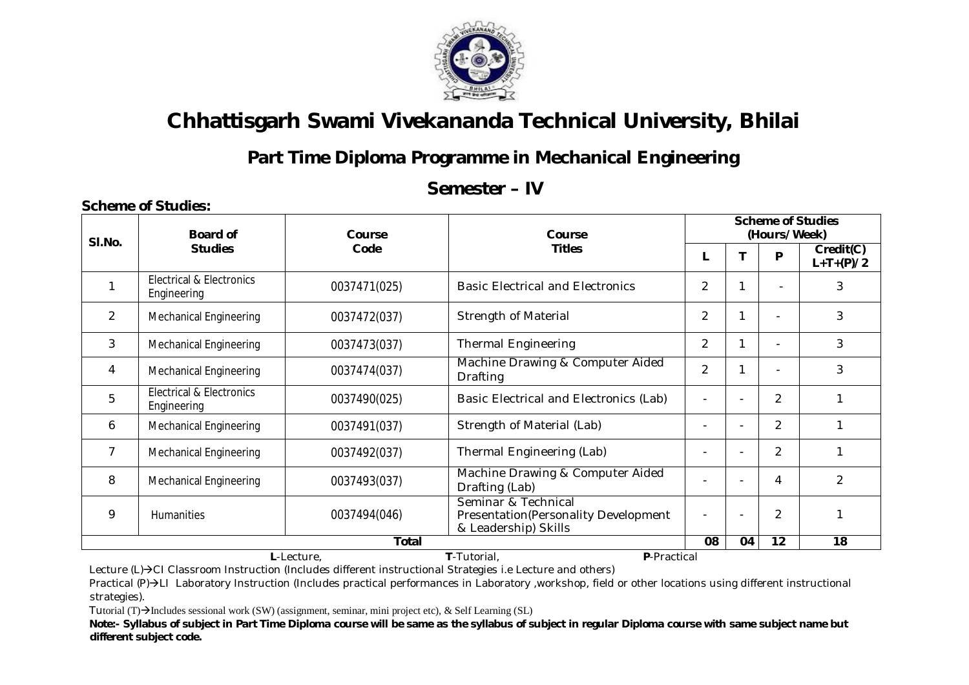

## **Part Time Diploma Programme in Mechanical Engineering**

#### **Semester – IV**

| SI.No. | <b>Board of</b>                          | Course                       | Course<br><b>Titles</b>                                                             |                          | <b>Scheme of Studies</b><br>(Hours/Week) |                |                          |  |  |
|--------|------------------------------------------|------------------------------|-------------------------------------------------------------------------------------|--------------------------|------------------------------------------|----------------|--------------------------|--|--|
|        | <b>Studies</b>                           | Code                         |                                                                                     |                          |                                          | P              | Credit(C)<br>$L+T+(P)/2$ |  |  |
|        | Electrical & Electronics<br>Engineering  | 0037471(025)                 | <b>Basic Electrical and Electronics</b>                                             | $\overline{2}$           | 1                                        | $\blacksquare$ | 3                        |  |  |
| 2      | <b>Mechanical Engineering</b>            | 0037472(037)                 | <b>Strength of Material</b>                                                         | $\overline{2}$           |                                          |                | 3                        |  |  |
| 3      | <b>Mechanical Engineering</b>            | 0037473(037)                 | <b>Thermal Engineering</b>                                                          | 2                        | 1                                        |                | 3                        |  |  |
| 4      | <b>Mechanical Engineering</b>            | 0037474(037)                 | Machine Drawing & Computer Aided<br><b>Drafting</b>                                 | $\overline{2}$           |                                          |                | 3                        |  |  |
| 5      | Electrical & Electronics<br>Engineering  | 0037490(025)                 | Basic Electrical and Electronics (Lab)                                              | $\overline{\phantom{a}}$ |                                          | $\overline{2}$ |                          |  |  |
| 6      | <b>Mechanical Engineering</b>            | 0037491(037)                 | Strength of Material (Lab)                                                          |                          |                                          | $\overline{2}$ |                          |  |  |
| 7      | Mechanical Engineering                   | 0037492(037)                 | Thermal Engineering (Lab)                                                           |                          |                                          | $\overline{2}$ |                          |  |  |
| 8      | <b>Mechanical Engineering</b>            | 0037493(037)                 | Machine Drawing & Computer Aided<br>Drafting (Lab)                                  |                          |                                          | 4              | $\mathcal{P}$            |  |  |
| 9      | Humanities                               | 0037494(046)<br><b>Total</b> | Seminar & Technical<br>Presentation(Personality Development<br>& Leadership) Skills | $\overline{\phantom{a}}$ |                                          | $\overline{2}$ |                          |  |  |
|        |                                          |                              | 08                                                                                  | 04                       | 12                                       | 18             |                          |  |  |
|        | T-Tutorial,<br>P-Practical<br>L-Lecture, |                              |                                                                                     |                          |                                          |                |                          |  |  |

Lecture (L)→CI Classroom Instruction (Includes different instructional Strategies i.e Lecture and others)

Practical (P)->LI Laboratory Instruction (Includes practical performances in Laboratory ,workshop, field or other locations using different instructional strategies).

Tutorial  $(T) \rightarrow$ Includes sessional work (SW) (assignment, seminar, mini project etc), & Self Learning (SL)

**Scheme of Studies:**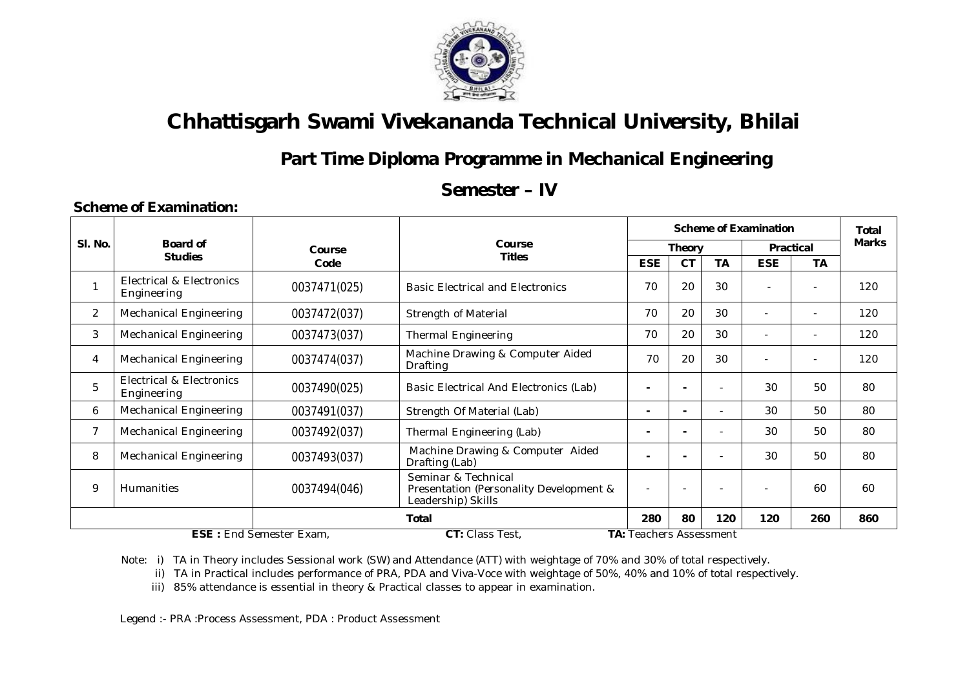

## **Part Time Diploma Programme in Mechanical Engineering**

#### **Semester – IV**

#### **Scheme of Examination: Sl. No. Board of Studies Course Code Course Titles Scheme of Examination** | Total **Theory Practical** Marks **ESE CT TA ESE TA** 1 Electrical & Electronics Electrical & Electronics<br>Engineering 20 | 30 | DOST471(025) Basic Electrical and Electronics | 70 | 20 | 30 | - | - | 120 2 | Mechanical Engineering | 0037472(037) | Strength of Material | 70 | 20 | 30 | - | - | 120 3 | Mechanical Engineering | 0037473(037) | Thermal Engineering | 70 | 20 | 30 | - | - | 120 4 | Mechanical Engineering | 0037474(037) Machine Drawing & Computer Aided Macrific Drawing & Computer Alaca  $\begin{vmatrix} 70 & 20 & 30 \\ -1 & 20 & 0 \end{vmatrix}$   $\begin{vmatrix} -1 & 120 & 120 \\ 0 & -1 & 0 \end{vmatrix}$ 5 Electrical & Electronics Electrical & Electronics | 0037490(025) | Basic Electrical And Electronics (Lab) | - | - | - | 30 | 50 | 80 6 | Mechanical Engineering | 0037491(037) | Strength Of Material (Lab) | - | - | - | - | 30 | 50 | 80 7 | Mechanical Engineering | 0037492(037) | Thermal Engineering (Lab) **-** | - | - | - | 30 | 50 | 80 8 | Mechanical Engineering | 0037493(037) Machine Drawing & Computer Aided<br>Drafting (Lab) **Drafting (Lab) Computer Alged Computer Alged -**  $\begin{vmatrix} 1 & 0 \\ 0 & 1 \end{vmatrix}$  -  $\begin{vmatrix} 1 & 0 \\ 0 & 1 \end{vmatrix}$  -  $\begin{vmatrix} 30 & 50 \\ 0 & 1 \end{vmatrix}$  80 9 | Humanities | 0037494(046) Seminar & Technical Presentation (Personality Development & Leadership) Skills - | - | - | - | 60 | 60 **Total 280 80 120 120 260 860 ESE :** End Semester Exam, **CT:** Class Test, **TA:** Teachers Assessment

Note: i) TA in Theory includes Sessional work (SW) and Attendance (ATT) with weightage of 70% and 30% of total respectively.

ii) TA in Practical includes performance of PRA, PDA and Viva-Voce with weightage of 50%, 40% and 10% of total respectively.

iii) 85% attendance is essential in theory & Practical classes to appear in examination.

Legend :- PRA :Process Assessment, PDA : Product Assessment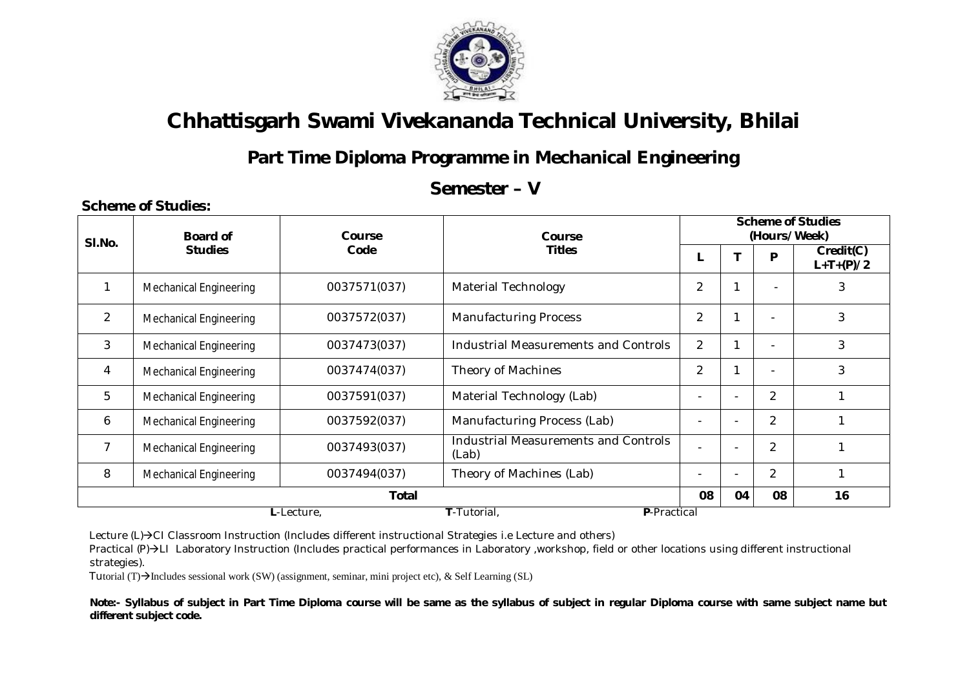

## **Part Time Diploma Programme in Mechanical Engineering**

#### **Semester – V**

| SI.No.         | Board of                                 | Course       | Course                                               |                                                              | <b>Scheme of Studies</b><br>(Hours/Week) |                |                          |  |  |
|----------------|------------------------------------------|--------------|------------------------------------------------------|--------------------------------------------------------------|------------------------------------------|----------------|--------------------------|--|--|
|                | <b>Studies</b>                           | Code         | <b>Titles</b>                                        |                                                              |                                          | P              | Credit(C)<br>$L+T+(P)/2$ |  |  |
|                | <b>Mechanical Engineering</b>            | 0037571(037) | <b>Material Technology</b>                           | $\overline{2}$                                               | 1                                        | ٠              | 3                        |  |  |
| $\overline{2}$ | <b>Mechanical Engineering</b>            | 0037572(037) | <b>Manufacturing Process</b>                         | $\overline{2}$                                               | 1                                        |                | 3                        |  |  |
| 3              | <b>Mechanical Engineering</b>            | 0037473(037) | Industrial Measurements and Controls                 | $\overline{2}$                                               |                                          |                | 3                        |  |  |
| 4              | <b>Mechanical Engineering</b>            | 0037474(037) | Theory of Machines                                   | $\overline{2}$                                               |                                          |                | 3                        |  |  |
| 5              | <b>Mechanical Engineering</b>            | 0037591(037) | Material Technology (Lab)                            |                                                              |                                          | $\overline{2}$ |                          |  |  |
| 6              | <b>Mechanical Engineering</b>            | 0037592(037) | Manufacturing Process (Lab)                          |                                                              |                                          | $\overline{2}$ |                          |  |  |
| 7              | <b>Mechanical Engineering</b>            | 0037493(037) | <b>Industrial Measurements and Controls</b><br>(Lab) |                                                              | $\overline{\phantom{a}}$                 |                |                          |  |  |
| 8              | <b>Mechanical Engineering</b>            | 0037494(037) | Theory of Machines (Lab)                             | $\overline{2}$<br>$\blacksquare$<br>$\overline{\phantom{0}}$ |                                          |                |                          |  |  |
|                | Total                                    |              |                                                      |                                                              |                                          |                | 16                       |  |  |
|                | T-Tutorial,<br>P-Practical<br>L-Lecture, |              |                                                      |                                                              |                                          |                |                          |  |  |

Lecture  $(L)\rightarrow C1$  Classroom Instruction (Includes different instructional Strategies i.e Lecture and others)

Practical (P)->LI Laboratory Instruction (Includes practical performances in Laboratory ,workshop, field or other locations using different instructional strategies).

Tutorial  $(T)$  Includes sessional work (SW) (assignment, seminar, mini project etc), & Self Learning (SL)

**Scheme of Studies:**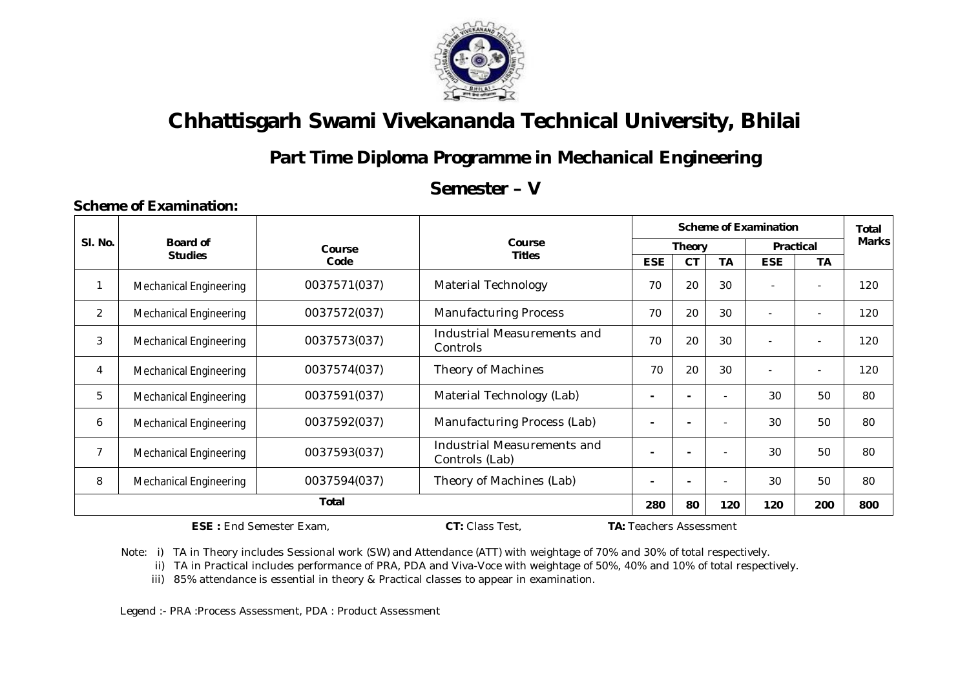

## **Part Time Diploma Programme in Mechanical Engineering**

#### **Semester – V**

#### **Sl. No. Board of Studies Course Code Course Titles Scheme of Examination** Total **Theory Practical** Marks **ESE CT TA ESE TA** 1 | Mechanical Engineering | 0037571(037) | Material Technology | 70 | 20 | 30 | - | - | 120 2 | Mechanical Engineering | 0037572(037) | Manufacturing Process | 70 | 20 | 30 | - | - | 120 3 Mechanical Engineering 0037573(037) Industrial Measurements and  $\frac{1}{20}$  20 30 -  $\frac{1}{20}$  120 4 | Mechanical Engineering | 0037574(037) | Theory of Machines | 70 | 20 | 30 | - | - | 120 5 | Mechanical Engineering | 0037591(037) | Material Technology (Lab) | - | - | - | 30 | 50 | 80 6 | Mechanical Engineering | 0037592(037) | Manufacturing Process (Lab) | - | - | - | 30 | 50 | 80 7 Mechanical Engineering 0037593(037) Industrial Measurements and **Controls (Lab) Controls (Lab) a**  $\begin{bmatrix} 1 & 1 \\ 1 & 1 \end{bmatrix}$  **a**  $\begin{bmatrix} 2 & 30 \\ 30 & 50 \end{bmatrix}$  80 8 | Mechanical Engineering | 0037594(037) | Theory of Machines (Lab) | - | - | - | 30 | 50 | 80 **Total 280 80 120 120 200 800**

**ESE :** End Semester Exam, **CT:** Class Test, **TA:** Teachers Assessment

 **Scheme of Examination:** 

Note: i) TA in Theory includes Sessional work (SW) and Attendance (ATT) with weightage of 70% and 30% of total respectively.

ii) TA in Practical includes performance of PRA, PDA and Viva-Voce with weightage of 50%, 40% and 10% of total respectively.

iii) 85% attendance is essential in theory & Practical classes to appear in examination.

Legend :- PRA :Process Assessment, PDA : Product Assessment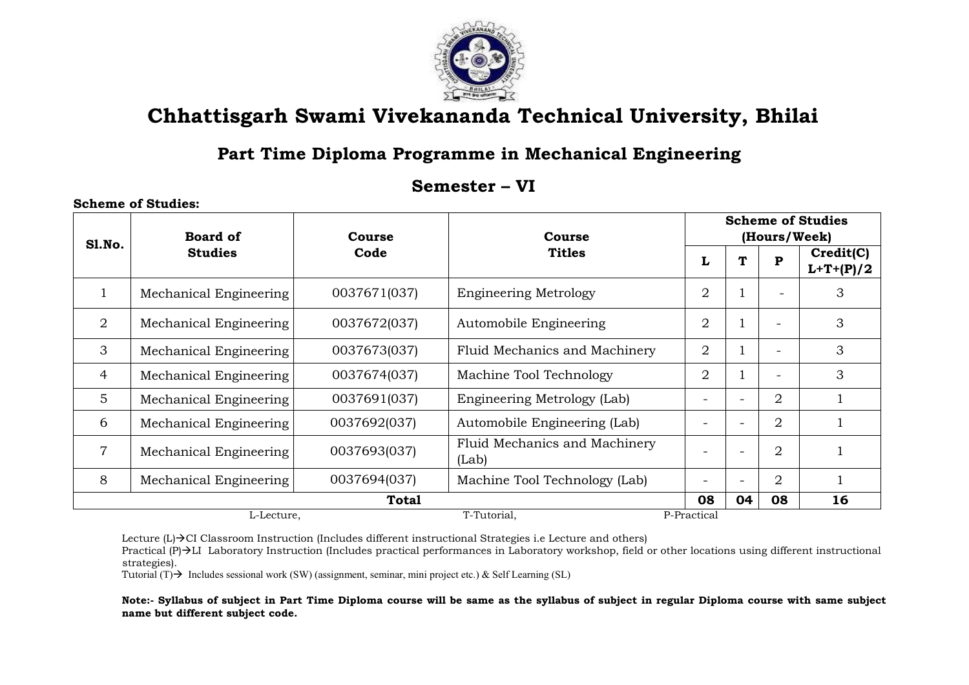

#### **Part Time Diploma Programme in Mechanical Engineering**

#### **Semester – VI**

#### **Sl.No. Board of Studies Course Code Course Titles Scheme of Studies (Hours/Week)**  $L \mid T \mid P \mid$  **Credit(C) L+T+(P)/2** 1 | Mechanical Engineering |  $0037671(037)$  | Engineering Metrology | 2 | 1 | - | 3 2 | Mechanical Engineering |  $0037672(037)$  | Automobile Engineering | 2 | 1 | - | 3 3 | Mechanical Engineering |  $0037673(037)$  | Fluid Mechanics and Machinery | 2 | 1 | - | 3 4 | Mechanical Engineering | 0037674(037) | Machine Tool Technology | 2 | 1 | - | 3 5 | Mechanical Engineering |  $0037691(037)$  | Engineering Metrology (Lab) | - | - | 2 | 1 6 | Mechanical Engineering |  $0037692(037)$  | Automobile Engineering (Lab) | - | - | 2 | 1  $7$  Mechanical Engineering 0037693(037) Fluid Mechanics and Machinery (Lab)  $\begin{vmatrix} 1 & 2 & 1 \end{vmatrix}$   $\begin{vmatrix} -1 & 2 & 1 \end{vmatrix}$   $\begin{vmatrix} 2 & 1 \end{vmatrix}$ 8 | Mechanical Engineering |  $0037694(037)$  | Machine Tool Technology (Lab) | - | - | 2 | 1 **Total 08 04 08 16** L-Lecture, T-Tutorial, P-Practical

Lecture  $(L) \rightarrow$ CI Classroom Instruction (Includes different instructional Strategies i.e Lecture and others)

Practical (P)  $\rightarrow$ LI Laboratory Instruction (Includes practical performances in Laboratory workshop, field or other locations using different instructional strategies).

Tutorial  $(T)$  Includes sessional work (SW) (assignment, seminar, mini project etc.) & Self Learning (SL)

**Scheme of Studies:**